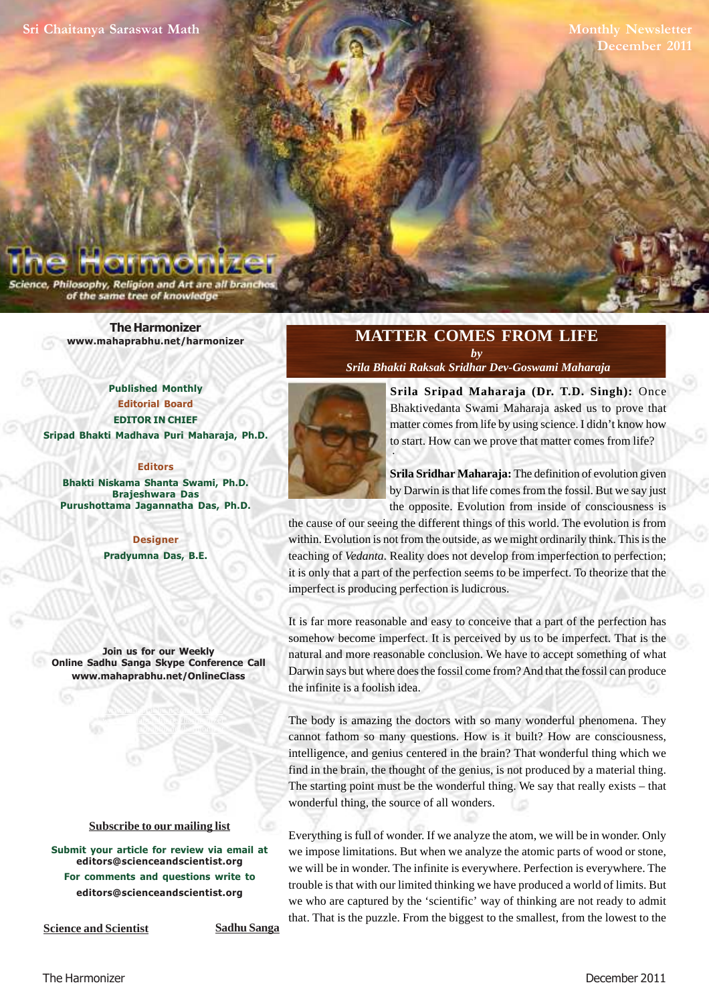**Monthly Newsletter December 2011**

Philosophy, Religion and Art are all branc of the same tree of knowledge

> **[The Harmonizer](http://www.mahaprabhu.net/satsanga/harmonizer) www.mahaprabhu.net/harmonizer**

**Published Monthly Editorial Board EDITOR IN CHIEF Sripad Bhakti Madhava Puri Maharaja, Ph.D.**

**Editors Bhakti Niskama Shanta Swami, Ph.D. Brajeshwara Das Purushottama Jagannatha Das, Ph.D.**

> **Designer Pradyumna Das, B.E.**

**Join us for our Weekly Online Sadhu Sanga Skype Conference Call www.mahaprabhu.net/OnlineClass**

> www.mahaprabhu.net/harmonizer www.mahaprabhu.net/harmonizer www.mahaprabhu.net/harmonizer

#### **<u>Subscribe to our mailing list</u>**

**Submit your article for review via email at editors@scienceandscientist.org For comments and questions write to editors@scienceandscientist.org**

# **MATTER COMES FROM LIFE**

*by  [Srila Bhakti Raksak Sridhar Dev-Goswami Maharaja](http://scsmath.com/docs/sridhar_maharaj.html)*



**[Srila Sripad Maharaja \(Dr. T.D. Singh\)](http://mahaprabhu.net/sadhusanga/blog1.php/2009/10/01/affectionate-guardians):** Once Bhaktivedanta Swami Maharaja asked us to prove that matter comes from life by using science. I didn't know how to start. How can we prove that matter comes from life?

**[Srila Sridhar Maharaja:](http://scsmath.com/docs/sridhar_maharaj.html)** The definition of evolution given by Darwin is that life comes from the fossil. But we say just the opposite. Evolution from inside of consciousness is

the cause of our seeing the different things of this world. The evolution is from within. Evolution is not from the outside, as we might ordinarily think. This is the teaching of *Vedanta.* Reality does not develop from imperfection to perfection; it is only that a part of the perfection seems to be imperfect. To theorize that the imperfect is producing perfection is ludicrous.

It is far more reasonable and easy to conceive that a part of the perfection has somehow become imperfect. It is perceived by us to be imperfect. That is the natural and more reasonable conclusion. We have to accept something of what Darwin says but where does the fossil come from? And that the fossil can produce the infinite is a foolish idea.

The body is amazing the doctors with so many wonderful phenomena. They cannot fathom so many questions. How is it built? How are consciousness, intelligence, and genius centered in the brain? That wonderful thing which we find in the brain, the thought of the genius, is not produced by a material thing. The starting point must be the wonderful thing. We say that really exists – that wonderful thing, the source of all wonders.

Everything is full of wonder. If we analyze the atom, we will be in wonder. Only we impose limitations. But when we analyze the atomic parts of wood or stone, we will be in wonder. The infinite is everywhere. Perfection is everywhere. The trouble is that with our limited thinking we have produced a world of limits. But we who are captured by the 'scientific' way of thinking are not ready to admit that. That is the puzzle. From the biggest to the smallest, from the lowest to the

**Science and Scientist Sadhu Sanga**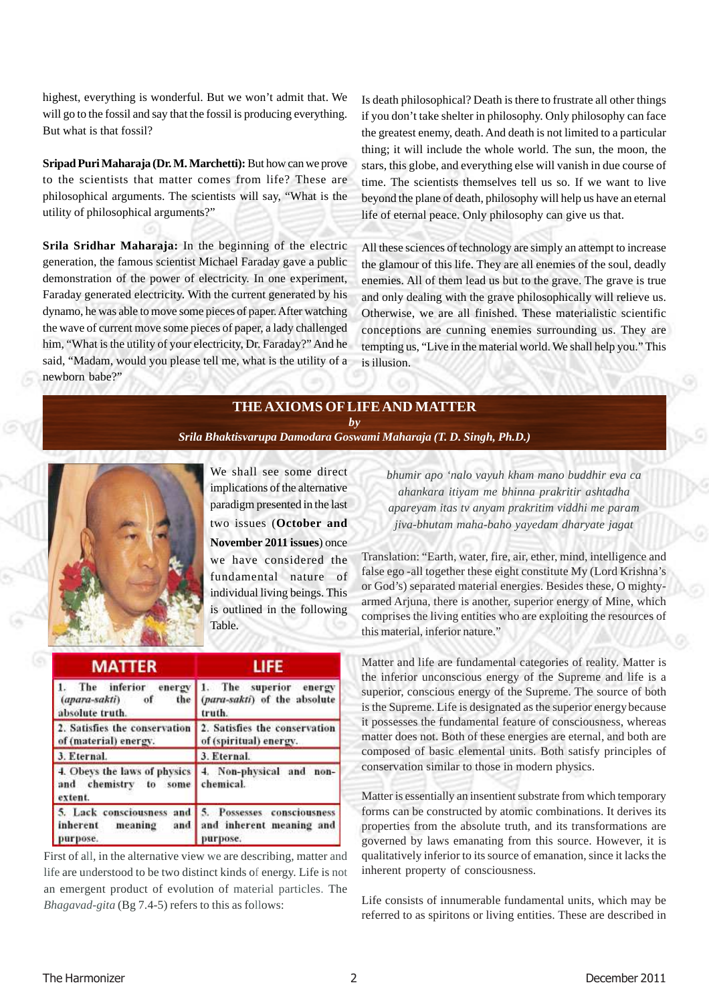highest, everything is wonderful. But we won't admit that. We will go to the fossil and say that the fossil is producing everything. But what is that fossil?

**[Sripad Puri Maharaja \(Dr. M. Marchetti\):](http://mahaprabhu.net/sadhusanga/blog1.php/2009/10/01/affectionate-guardians)** But how can we prove to the scientists that matter comes from life? These are philosophical arguments. The scientists will say, "What is the utility of philosophical arguments?"

**[Srila Sridhar Maharaja](http://scsmath.com/docs/sridhar_maharaj.html):** In the beginning of the electric generation, the famous scientist Michael Faraday gave a public demonstration of the power of electricity. In one experiment, Faraday generated electricity. With the current generated by his dynamo, he was able to move some pieces of paper. After watching the wave of current move some pieces of paper, a lady challenged him, "What is the utility of your electricity, Dr. Faraday?" And he said, "Madam, would you please tell me, what is the utility of a newborn babe?"

Is death philosophical? Death is there to frustrate all other things if you don't take shelter in philosophy. Only philosophy can face the greatest enemy, death. And death is not limited to a particular thing; it will include the whole world. The sun, the moon, the stars, this globe, and everything else will vanish in due course of time. The scientists themselves tell us so. If we want to live beyond the plane of death, philosophy will help us have an eternal life of eternal peace. Only philosophy can give us that.

All these sciences of technology are simply an attempt to increase the glamour of this life. They are all enemies of the soul, deadly enemies. All of them lead us but to the grave. The grave is true and only dealing with the grave philosophically will relieve us. Otherwise, we are all finished. These materialistic scientific conceptions are cunning enemies surrounding us. They are tempting us, "Live in the material world. We shall help you." This is illusion.

## **THE AXIOMS OF LIFE AND MATTER**

*by*

*[Srila Bhaktisvarupa Damodara Goswami Maharaja \(T. D. Singh, Ph.D.\)](http://mahaprabhu.net/sadhusanga/blog1.php/2009/10/01/affectionate-guardians)*



We shall see some direct implications of the alternative paradigm presented in the last two issues (**October and November 2011 issues**) once we have considered the fundamental nature of individual living beings. This is outlined in the following Table.

| <b>MATTER</b>                                                    | <b>LIFE</b>                                                                                  |
|------------------------------------------------------------------|----------------------------------------------------------------------------------------------|
| the<br>$(apara-sakti)$<br>of<br>absolute truth.                  | The inferior energy 1. The superior energy<br>(para-sakti) of the absolute<br>truth.         |
| 2. Satisfies the conservation<br>of (material) energy.           | 2. Satisfies the conservation<br>of (spiritual) energy.                                      |
| 3. Eternal.                                                      | 3. Eternal.                                                                                  |
| 4. Obeys the laws of physics<br>and chemistry to some<br>extent. | 4. Non-physical and non-<br>chemical.                                                        |
| inherent<br>meaning<br>and<br>purpose.                           | 5. Lack consciousness and 5. Possesses consciousness<br>and inherent meaning and<br>purpose. |

First of all, in the alternative view we are describing, matter and life are understood to be two distinct kinds of energy. Life is not an emergent product of evolution of material particles. The *Bhagavad-gita* (Bg 7.4-5) refers to this as follows:

*bhumir apo 'nalo vayuh kham mano buddhir eva ca ahankara itiyam me bhinna prakritir ashtadha apareyam itas tv anyam prakritim viddhi me param jiva-bhutam maha-baho yayedam dharyate jagat*

Translation: "Earth, water, fire, air, ether, mind, intelligence and false ego -all together these eight constitute My (Lord Krishna's or God's) separated material energies. Besides these, O mightyarmed Arjuna, there is another, superior energy of Mine, which comprises the living entities who are exploiting the resources of this material, inferior nature."

Matter and life are fundamental categories of reality. Matter is the inferior unconscious energy of the Supreme and life is a superior, conscious energy of the Supreme. The source of both is the Supreme. Life is designated as the superior energybecause it possesses the fundamental feature of consciousness, whereas matter does not. Both of these energies are eternal, and both are composed of basic elemental units. Both satisfy principles of conservation similar to those in modern physics.

Matter is essentially an insentient substrate from which temporary forms can be constructed by atomic combinations. It derives its properties from the absolute truth, and its transformations are governed by laws emanating from this source. However, it is qualitatively inferior to its source of emanation, since it lacks the inherent property of consciousness.

Life consists of innumerable fundamental units, which may be referred to as spiritons or living entities. These are described in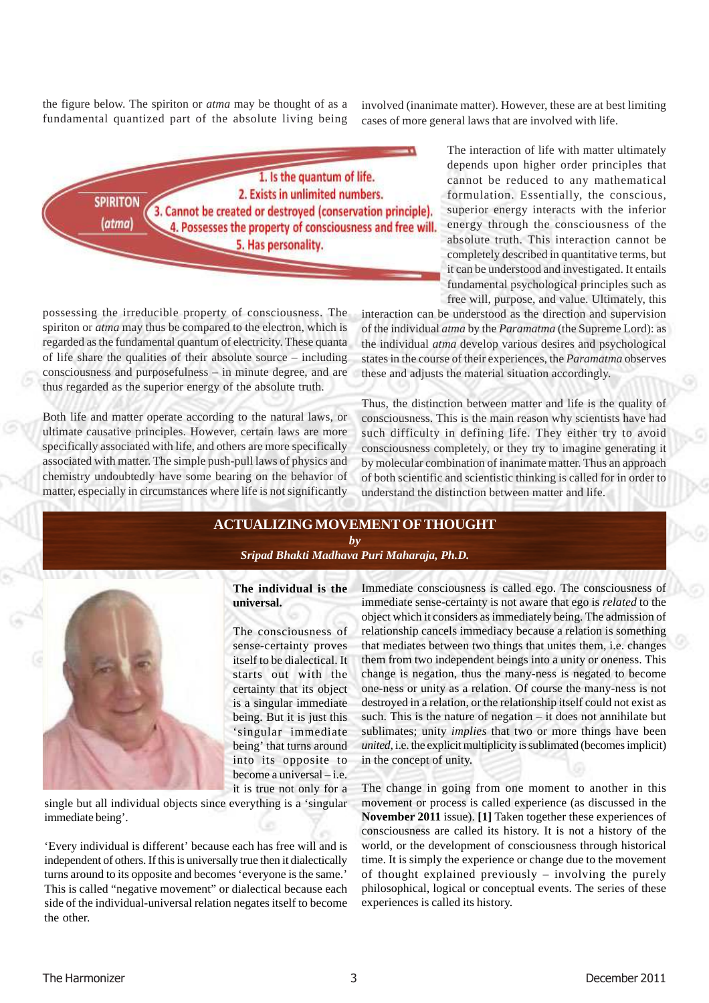the figure below. The spiriton or *atma* may be thought of as a fundamental quantized part of the absolute living being

involved (inanimate matter). However, these are at best limiting cases of more general laws that are involved with life.



possessing the irreducible property of consciousness. The spiriton or *atma* may thus be compared to the electron, which is regarded as the fundamental quantum of electricity. These quanta of life share the qualities of their absolute source – including consciousness and purposefulness – in minute degree, and are thus regarded as the superior energy of the absolute truth.

Both life and matter operate according to the natural laws, or ultimate causative principles. However, certain laws are more specifically associated with life, and others are more specifically associated with matter. The simple push-pull laws of physics and chemistry undoubtedly have some bearing on the behavior of matter, especially in circumstances where life is not significantly The interaction of life with matter ultimately depends upon higher order principles that cannot be reduced to any mathematical formulation. Essentially, the conscious, superior energy interacts with the inferior energy through the consciousness of the absolute truth. This interaction cannot be completely described in quantitative terms, but it can be understood and investigated. It entails fundamental psychological principles such as free will, purpose, and value. Ultimately, this

interaction can be understood as the direction and supervision of the individual *atma* by the *Paramatma* (the Supreme Lord): as the individual *atma* develop various desires and psychological states in the course of their experiences, the *Paramatma* observes these and adjusts the material situation accordingly.

Thus, the distinction between matter and life is the quality of consciousness. This is the main reason why scientists have had such difficulty in defining life. They either try to avoid consciousness completely, or they try to imagine generating it by molecular combination of inanimate matter. Thus an approach of both scientific and scientistic thinking is called for in order to understand the distinction between matter and life.

#### **ACTUALIZING MOVEMENT OF THOUGHT** *by [Sripad Bhakti Madhava Puri Maharaja, Ph.D.](http://mahaprabhu.net/sadhusanga/blog1.php/2009/10/01/affectionate-guardians)*



#### **The individual is the universal.**

The consciousness of sense-certainty proves itself to be dialectical. It starts out with the certainty that its object is a singular immediate being. But it is just this 'singular immediate being' that turns around into its opposite to become a universal – i.e. it is true not only for a

single but all individual objects since everything is a 'singular immediate being'.

'Every individual is different' because each has free will and is independent of others. If this is universally true then it dialectically turns around to its opposite and becomes 'everyone is the same.' This is called "negative movement" or dialectical because each side of the individual-universal relation negates itself to become the other.

Immediate consciousness is called ego. The consciousness of immediate sense-certainty is not aware that ego is *related* to the object which it considers as immediately being. The admission of relationship cancels immediacy because a relation is something that mediates between two things that unites them, i.e. changes them from two independent beings into a unity or oneness. This change is negation, thus the many-ness is negated to become one-ness or unity as a relation. Of course the many-ness is not destroyed in a relation, or the relationship itself could not exist as such. This is the nature of negation – it does not annihilate but sublimates; unity *implies* that two or more things have been *united*, i.e. the explicit multiplicity is sublimated (becomes implicit) in the concept of unity.

The change in going from one moment to another in this movement or process is called experience (as discussed in the **November 2011** issue). **[1]** Taken together these experiences of consciousness are called its history. It is not a history of the world, or the development of consciousness through historical time. It is simply the experience or change due to the movement of thought explained previously – involving the purely philosophical, logical or conceptual events. The series of these experiences is called its history.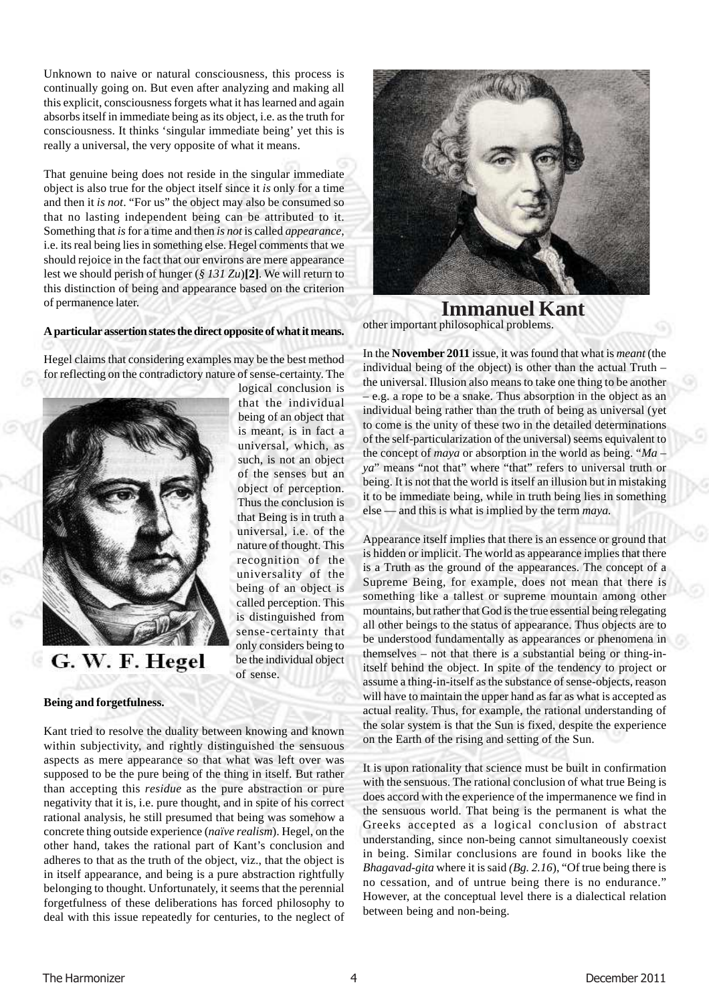Unknown to naive or natural consciousness, this process is continually going on. But even after analyzing and making all this explicit, consciousness forgets what it has learned and again absorbs itself in immediate being as its object, i.e. as the truth for consciousness. It thinks 'singular immediate being' yet this is really a universal, the very opposite of what it means.

That genuine being does not reside in the singular immediate object is also true for the object itself since it *is* only for a time and then it *is not*. "For us" the object may also be consumed so that no lasting independent being can be attributed to it. Something that *is* for a time and then *is not* is called *appearance*, i.e. its real being lies in something else. Hegel comments that we should rejoice in the fact that our environs are mere appearance lest we should perish of hunger (*§ 131 Zu*)**[2]**. We will return to this distinction of being and appearance based on the criterion of permanence later.

#### **A particular assertion states the direct opposite of what it means.**

Hegel claims that considering examples may be the best method for reflecting on the contradictory nature of sense-certainty. The

> logical conclusion is that the individual being of an object that is meant, is in fact a universal, which, as such, is not an object of the senses but an object of perception. Thus the conclusion is that Being is in truth a universal, i.e. of the nature of thought. This recognition of the universality of the being of an object is called perception. This is distinguished from sense-certainty that only considers being to be the individual object

of sense.



G. W. F. Hegel

#### **Being and forgetfulness.**

Kant tried to resolve the duality between knowing and known within subjectivity, and rightly distinguished the sensuous aspects as mere appearance so that what was left over was supposed to be the pure being of the thing in itself. But rather than accepting this *residue* as the pure abstraction or pure negativity that it is, i.e. pure thought, and in spite of his correct rational analysis, he still presumed that being was somehow a concrete thing outside experience (*naïve realism*). Hegel, on the other hand, takes the rational part of Kant's conclusion and adheres to that as the truth of the object, viz., that the object is in itself appearance, and being is a pure abstraction rightfully belonging to thought. Unfortunately, it seems that the perennial forgetfulness of these deliberations has forced philosophy to deal with this issue repeatedly for centuries, to the neglect of

other important philosophical problems. **Immanuel Kant**

In the **November 2011** issue, it was found that what is *meant* (the individual being of the object) is other than the actual Truth – the universal. Illusion also means to take one thing to be another – e.g. a rope to be a snake. Thus absorption in the object as an individual being rather than the truth of being as universal (yet to come is the unity of these two in the detailed determinations of the self-particularization of the universal) seems equivalent to the concept of *maya* or absorption in the world as being. "*Ma – ya*" means "not that" where "that" refers to universal truth or being. It is not that the world is itself an illusion but in mistaking it to be immediate being, while in truth being lies in something else — and this is what is implied by the term *maya.*

Appearance itself implies that there is an essence or ground that is hidden or implicit. The world as appearance implies that there is a Truth as the ground of the appearances. The concept of a Supreme Being, for example, does not mean that there is something like a tallest or supreme mountain among other mountains, but rather that God is the true essential being relegating all other beings to the status of appearance. Thus objects are to be understood fundamentally as appearances or phenomena in themselves – not that there is a substantial being or thing-initself behind the object. In spite of the tendency to project or assume a thing-in-itself as the substance of sense-objects, reason will have to maintain the upper hand as far as what is accepted as actual reality. Thus, for example, the rational understanding of the solar system is that the Sun is fixed, despite the experience on the Earth of the rising and setting of the Sun.

It is upon rationality that science must be built in confirmation with the sensuous. The rational conclusion of what true Being is does accord with the experience of the impermanence we find in the sensuous world. That being is the permanent is what the Greeks accepted as a logical conclusion of abstract understanding, since non-being cannot simultaneously coexist in being. Similar conclusions are found in books like the *Bhagavad-gita* where it is said *(Bg. 2.16*), "Of true being there is no cessation, and of untrue being there is no endurance." However, at the conceptual level there is a dialectical relation between being and non-being.